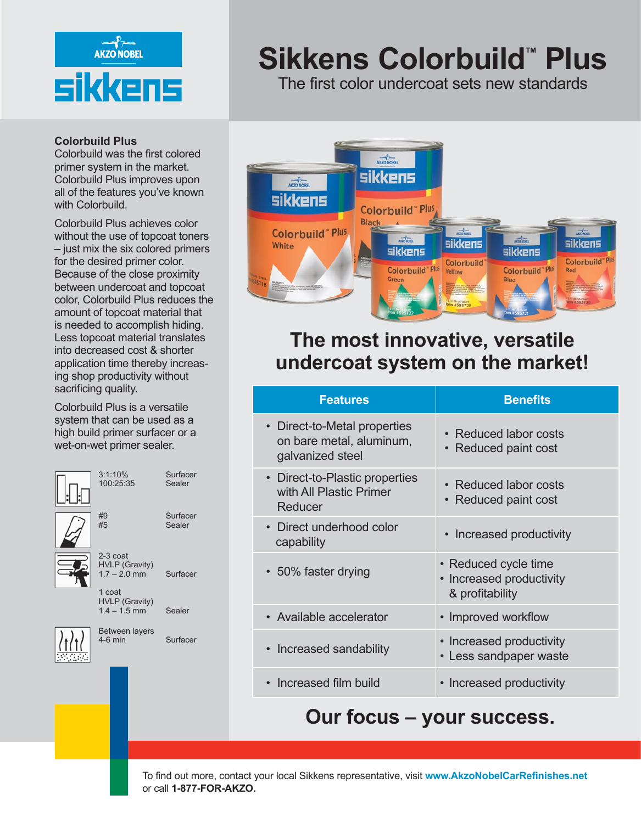

#### **Colorbuild Plus**

Colorbuild was the first colored primer system in the market. Colorbuild Plus improves upon all of the features you've known with Colorbuild.

Colorbuild Plus achieves color without the use of topcoat toners – just mix the six colored primers for the desired primer color. Because of the close proximity between undercoat and topcoat color, Colorbuild Plus reduces the amount of topcoat material that is needed to accomplish hiding. Less topcoat material translates into decreased cost & shorter application time thereby increasing shop productivity without sacrificing quality.

Colorbuild Plus is a versatile system that can be used as a high build primer surfacer or a wet-on-wet primer sealer.



# **Sikkens Colorbuild™ Plus**

The first color undercoat sets new standards



## **The most innovative, versatile undercoat system on the market!**

| <b>Features</b>                                                            | <b>Benefits</b>                                                     |
|----------------------------------------------------------------------------|---------------------------------------------------------------------|
| Direct-to-Metal properties<br>on bare metal, aluminum,<br>galvanized steel | • Reduced labor costs<br>Reduced paint cost<br>$\bullet$            |
| Direct-to-Plastic properties<br>with All Plastic Primer<br>Reducer         | • Reduced labor costs<br>Reduced paint cost<br>$\bullet$            |
| • Direct underhood color<br>capability                                     | Increased productivity                                              |
| • 50% faster drying                                                        | • Reduced cycle time<br>• Increased productivity<br>& profitability |
| • Available accelerator                                                    | • Improved workflow                                                 |
| • Increased sandability                                                    | • Increased productivity<br>• Less sandpaper waste                  |
| Increased film build                                                       | • Increased productivity                                            |

## **Our focus – your success.**

To find out more, contact your local Sikkens representative, visit **www.AkzoNobelCarRefinishes.net** or call **1-877-FOR-AKZO.**